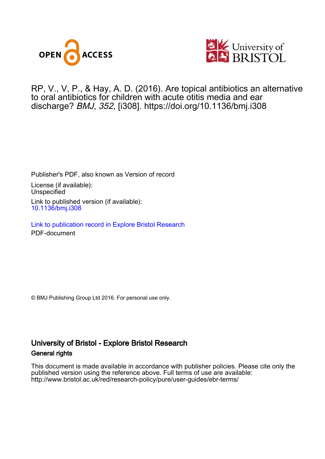



RP, V., V, P. , & Hay, A. D. (2016). Are topical antibiotics an alternative to oral antibiotics for children with acute otitis media and ear discharge? BMJ, 352, [i308].<https://doi.org/10.1136/bmj.i308>

Publisher's PDF, also known as Version of record

License (if available): Unspecified Link to published version (if available): [10.1136/bmj.i308](https://doi.org/10.1136/bmj.i308)

[Link to publication record in Explore Bristol Research](https://research-information.bris.ac.uk/en/publications/114c9a31-00a2-4e72-bb21-5bb9b96059ed) PDF-document

© BMJ Publishing Group Ltd 2016. For personal use only.

## University of Bristol - Explore Bristol Research General rights

This document is made available in accordance with publisher policies. Please cite only the published version using the reference above. Full terms of use are available: http://www.bristol.ac.uk/red/research-policy/pure/user-guides/ebr-terms/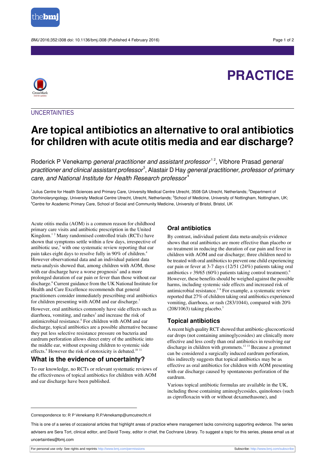

BMJ 2016;352:i308 doi: 10.1136/bmj.i308 (Published 4 February 2016) Page 1 of 2

# **PRACTICE**



**UNCERTAINTIES** 

## **Are topical antibiotics an alternative to oral antibiotics for children with acute otitis media and ear discharge?**

Roderick P Venekamp *general practitioner and assistant professor*<sup>12</sup>, Vibhore Prasad *general* practitioner and clinical assistant professor $^{\rm 3}$ , Alastair D Hay general practitioner, professor of primary care, and National Institute for Health Research professor<sup>4</sup>

<sup>1</sup>Julius Centre for Health Sciences and Primary Care, University Medical Centre Utrecht, 3508 GA Utrecht, Netherlands; <sup>2</sup>Department of Otorhinolaryngology, University Medical Centre Utrecht, Utrecht, Netherlands; <sup>3</sup>School of Medicine, University of Nottingham, Nottingham, UK; <sup>4</sup>Centre for Academic Primary Care, School of Social and Community Medicine, University of Bristol, Bristol, UK

Acute otitis media (AOM) is a common reason for childhood primary care visits and antibiotic prescription in the United Kingdom.<sup>12</sup> Many randomised controlled trials (RCTs) have shown that symptoms settle within a few days, irrespective of antibiotic use, $3$  with one systematic review reporting that ear pain takes eight days to resolve fully in 90% of children.<sup>4</sup> However observational data and an individual patient data meta-analysis showed that, among children with AOM, those with ear discharge have a worse prognosis<sup>5</sup> and a more prolonged duration of ear pain or fever than those without ear discharge.<sup>6</sup> Current guidance from the UK National Institute for Health and Care Excellence recommends that general practitioners consider immediately prescribing oral antibiotics for children presenting with AOM and ear discharge.<sup>7</sup>

However, oral antibiotics commonly have side effects such as diarrhoea, vomiting, and rashes<sup>3</sup> and increase the risk of antimicrobial resistance.<sup>8</sup> For children with AOM and ear discharge, topical antibiotics are a possible alternative because they put less selective resistance pressure on bacteria and eardrum perforation allows direct entry of the antibiotic into the middle ear, without exposing children to systemic side effects.<sup>9</sup> However the risk of ototoxicity is debated.<sup>10 11</sup>

## **What is the evidence of uncertainty?**

To our knowledge, no RCTs or relevant systematic reviews of the effectiveness of topical antibiotics for children with AOM and ear discharge have been published.

### **Oral antibiotics**

By contrast, individual patient data meta-analysis evidence shows that oral antibiotics are more effective than placebo or no treatment in reducing the duration of ear pain and fever in children with AOM and ear discharge; three children need to be treated with oral antibiotics to prevent one child experiencing ear pain or fever at 3-7 days (12/51 (24%) patients taking oral antibiotics *v* 39/65 (60%) patients taking control treatment).<sup>6</sup> However, these benefits should be weighed against the possible harms, including systemic side effects and increased risk of antimicrobial resistance.<sup>3</sup> <sup>8</sup> For example, a systematic review reported that 27% of children taking oral antibiotics experienced vomiting, diarrhoea, or rash (283/1044), compared with 20%  $(208/1063)$  taking placebo.<sup>3</sup>

## **Topical antibiotics**

A recent high quality RCT showed that antibiotic-glucocorticoid ear drops (not containing aminoglycosides) are clinically more effective and less costly than oral antibiotics in resolving ear discharge in children with grommets.<sup>12</sup> <sup>13</sup> Because a grommet can be considered a surgically induced eardrum perforation, this indirectly suggests that topical antibiotics may be as effective as oral antibiotics for children with AOM presenting with ear discharge caused by spontaneous perforation of the eardrum.

Various topical antibiotic formulas are available in the UK, including those containing aminoglycosides, quinolones (such as ciprofloxacin with or without dexamethasone), and

Correspondence to: R P Venekamp R.P.Venekamp@umcutrecht.nl

This is one of a series of occasional articles that highlight areas of practice where management lacks convincing supporting evidence. The series advisers are Sera Tort, clinical editor, and David Tovey, editor in chief, the Cochrane Library. To suggest a topic for this series, please email us at uncertainties@bmj.com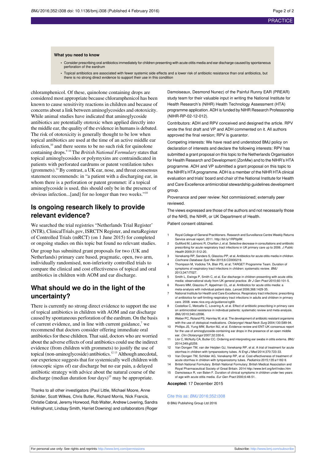#### **What you need to know**

- **•** Consider prescribing oral antibiotics immediately for children presenting with acute otitis media and ear discharge caused by spontaneous perforation of the eardrum
- **•** Topical antibiotics are associated with fewer systemic side effects and a lower risk of antibiotic resistance than oral antibiotics, but there is no strong direct evidence to support their use in this condition

chloramphenicol. Of these, quinolone containing drops are considered most appropriate because chloramphenicol has been known to cause sensitivity reactions in children and because of concerns about a link between aminoglycosides and ototoxicity. While animal studies have indicated that aminoglycoside antibiotics are potentially ototoxic when applied directly into the middle ear, the quality of the evidence in humans is debated. The risk of ototoxicity is generally thought to be low when topical antibiotics are used at the time of an active middle ear infection,<sup>10</sup> and there seems to be no such risk for quinolone containing drops.<sup>9</sup> <sup>10</sup> The *British National Formulary* states that topical aminoglycosides or polymyxins are contraindicated in patients with perforated eardrums or patent ventilation tubes (grommets).<sup>14</sup> By contrast, a UK ear, nose, and throat consensus statement recommends: in "a patient with a discharging ear, in whom there is a perforation or patent grommet: if a topical aminoglycoside is used, this should only be in the presence of obvious infection...[and] for no longer than two weeks."<sup>10</sup>

## **Is ongoing research likely to provide relevant evidence?**

We searched the trial registries "Netherlands Trial Register' (NTR), ClinicalTrials.gov, ISRCTN Register, and metaRegister of Controlled Trials (mRCT) (on 1 June 2015) for completed or ongoing studies on this topic but found no relevant studies.

Our group has submitted grant proposals for two (UK and Netherlands) primary care based, pragmatic, open, two arm, individually randomised, non-inferiority controlled trials to compare the clinical and cost effectiveness of topical and oral antibiotics in children with AOM and ear discharge.

## **What should we do in the light of the uncertainty?**

There is currently no strong direct evidence to support the use of topical antibiotics in children with AOM and ear discharge caused by spontaneous perforation of the eardrum. On the basis of current evidence, and in line with current guidance, $7$  we recommend that doctors consider offering immediate oral antibiotics for these children. That said, doctors who are worried about the adverse effects of oral antibiotics could use the indirect evidence (from children with grommets) to justify the use of topical (non-aminoglycoside) antibiotics.<sup>12</sup> <sup>13</sup> Although anecdotal, our experience suggests that for systemically well children with (otoscopic signs of) ear discharge but no ear pain, a delayed antibiotic strategy with advice about the natural course of the discharge (median duration four days)<sup>15</sup> may be appropriate.

Thanks to all other investigators (Paul Little, Michael Moore, Anne Schilder, Scott Wilkes, Chris Butler, Richard Morris, Nick Francis, Christie Cabral, Jeremy Horwood, Rob Walter, Andrew Lovering, Sandra Hollinghurst, Lindsay Smith, Harriet Downing) and collaborators (Roger

Damoiseaux, Desmond Nunez) of the Painful Runny EAR (PREAR) study team for their valuable input in writing the National Institute for Health Research's (NIHR) Health Technology Assessment (HTA) programme application. ADH is funded by NIHR Research Professorship (NIHR-RP-02-12-012).

Contributors: ADH and RPV conceived and designed the article. RPV wrote the first draft and VP and ADH commented on it. All authors approved the final version; RPV is guarantor.

Competing interests: We have read and understood BMJ policy on declaration of interests and declare the following interests: RPV has submitted a grant proposal on this topic to the Netherlands Organisation for Health Research and Development (ZonMw) and to the NIHR's HTA programme. ADH and VP submitted a grant proposal on this topic to the NIHR's HTA programme. ADH is a member of the NIHR HTA clinical evaluation and trials' board and chair of the National Institute for Health and Care Excellence antimicrobial stewardship guidelines development group.

Provenance and peer review: Not commissioned; externally peer reviewed.

The views expressed are those of the authors and not necessarily those of the NHS, the NIHR, or UK Department of Health.

Patient consent obtained.

- 1 Royal College of General Practitioners. Research and Surveillance Centre Weekly Returns Service annual report, 2011. [http://bit.ly/1RP0plW.](http://bit.ly/1RP0plW)
- 2 Gulliford M, Latinovic R, Charlton J, et al. Selective decrease in consultations and antibiotic prescribing for acute respiratory tract infections in UK primary care up to 2006. J Public Health 2009;31:512-20.
- 3 Venekamp RP, Sanders S, Glasziou PP, et al. Antibiotics for acute otitis media in children. Cochrane Database Syst Rev 2015;6:CD000219.
- 4 Thompson M, Vodicka TA, Blair PS, et al; TARGET Programme Team. Duration of symptoms of respiratory tract infections in children: systematic review. BMJ 2013;347:f7027.
- 5 Smith L, Ewings P, Smith C, et al. Ear discharge in children presenting with acute otitis media: observational study from UK general practice. Br J Gen Pract 2010;60:101-5.
- 6 Rovers MM, Glasziou P, Appelman CL, et al. Antibiotics for acute otitis media: a meta-analysis with individual patient data. Lancet 2006;368:1429-35.
- 7 National Institute for Health and Care Excellence. Respiratory tract infections: prescribing of antibiotics for self-limiting respiratory tract infections in adults and children in primary care. 2008. [www.nice.org.uk/guidance/cg69.](http://www.nice.org.uk/guidance/cg69)
- 8 Costelloe C, Metcalfe C, Lovering A, et al. Effect of antibiotic prescribing in primary care on antimicrobial resistance in individual patients: systematic review and meta-analysis. BMJ 2010;340:c2096.
- Weber PC, Roland PS, Hannley M, et al. The development of antibiotic resistant organisms with the use of ototopical medications. Otolaryngol Head Neck Surg 2004;130:S89-94.
- 10 Phillips JS, Yung MW, Burton MJ, et al. Evidence review and ENT-UK consensus report for the use of aminoglycoside-containing ear drops in the presence of an open middle ear. Clin Otolaryngol 2007;32:330-6.
- 11 Llor C, McNulty CA, Butler CC. Ordering and interpreting ear swabs in otitis externa. BMJ 2014;349:g5259.
- 12 Van Dongen TM, van der Heijden GJ, Venekamp RP, et al. A trial of treatment for acute otorrhea in children with tympanostomy tubes. N Engl J Med 2014;370:723-33.
- 13 Van Dongen TM, Schilder AG, Venekamp RP, et al. Cost-effectiveness of treatment of acute otorrhea in children with tympanostomy tubes. Pediatrics 2015;135:e1182-9.
- 14 British National Formulary. British National Formulary; British Medical Association and Royal Pharmaceutical Society of Great Britain. 2014 <http://www.bnf.org/bnf/index.htm>
- 15 Damoiseaux R, van Balen F. Duration of clinical symptoms in children under two years of age with acute otitis media. Eur Gen Pract 2000;6:48-51.

**Accepted:** 17 December 2015

#### Cite this as: BMJ 2016;352:i308

© BMJ Publishing Group Ltd 2016